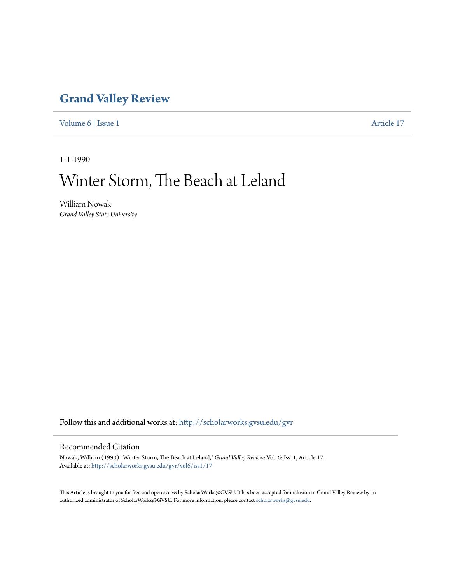### **[Grand Valley Review](http://scholarworks.gvsu.edu/gvr?utm_source=scholarworks.gvsu.edu%2Fgvr%2Fvol6%2Fiss1%2F17&utm_medium=PDF&utm_campaign=PDFCoverPages)**

[Volume 6](http://scholarworks.gvsu.edu/gvr/vol6?utm_source=scholarworks.gvsu.edu%2Fgvr%2Fvol6%2Fiss1%2F17&utm_medium=PDF&utm_campaign=PDFCoverPages) | [Issue 1](http://scholarworks.gvsu.edu/gvr/vol6/iss1?utm_source=scholarworks.gvsu.edu%2Fgvr%2Fvol6%2Fiss1%2F17&utm_medium=PDF&utm_campaign=PDFCoverPages) [Article 17](http://scholarworks.gvsu.edu/gvr/vol6/iss1/17?utm_source=scholarworks.gvsu.edu%2Fgvr%2Fvol6%2Fiss1%2F17&utm_medium=PDF&utm_campaign=PDFCoverPages)

1-1-1990

# Winter Storm, The Beach at Leland

William Nowak *Grand Valley State University*

Follow this and additional works at: [http://scholarworks.gvsu.edu/gvr](http://scholarworks.gvsu.edu/gvr?utm_source=scholarworks.gvsu.edu%2Fgvr%2Fvol6%2Fiss1%2F17&utm_medium=PDF&utm_campaign=PDFCoverPages)

#### Recommended Citation

Nowak, William (1990) "Winter Storm, The Beach at Leland," *Grand Valley Review*: Vol. 6: Iss. 1, Article 17. Available at: [http://scholarworks.gvsu.edu/gvr/vol6/iss1/17](http://scholarworks.gvsu.edu/gvr/vol6/iss1/17?utm_source=scholarworks.gvsu.edu%2Fgvr%2Fvol6%2Fiss1%2F17&utm_medium=PDF&utm_campaign=PDFCoverPages)

This Article is brought to you for free and open access by ScholarWorks@GVSU. It has been accepted for inclusion in Grand Valley Review by an authorized administrator of ScholarWorks@GVSU. For more information, please contact [scholarworks@gvsu.edu.](mailto:scholarworks@gvsu.edu)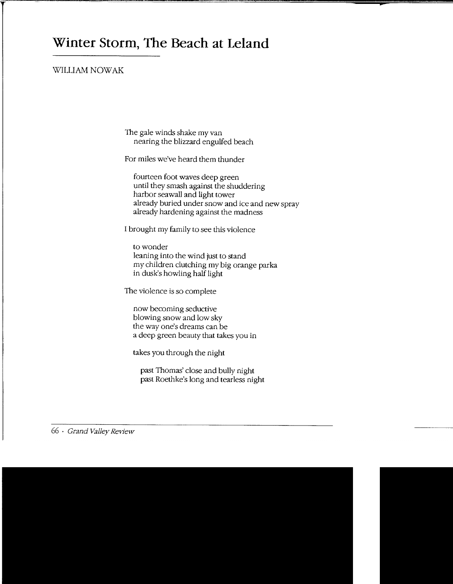## **Winter Storm, The Beach at Leland**

#### \VILLIAM NOWAK

The gale winds shake my van nearing the blizzard engulfed beach

For miles we've heard them thunder

fourteen foot waves deep green until they smash against the shuddering harbor seawall and light tower already buried under snow and ice and new spray already hardening against the madness

I brought my family to see this violence

to wonder leaning into the wind just to stand my children clutching my big orange parka in dusk's howling half light

The violence is so complete

now becoming seductive blowing snow and low sky the way one's dreams can be a deep green beauty that takes you in

takes you through the night

past Thomas' close and bully night past Roethke's long and tearless night